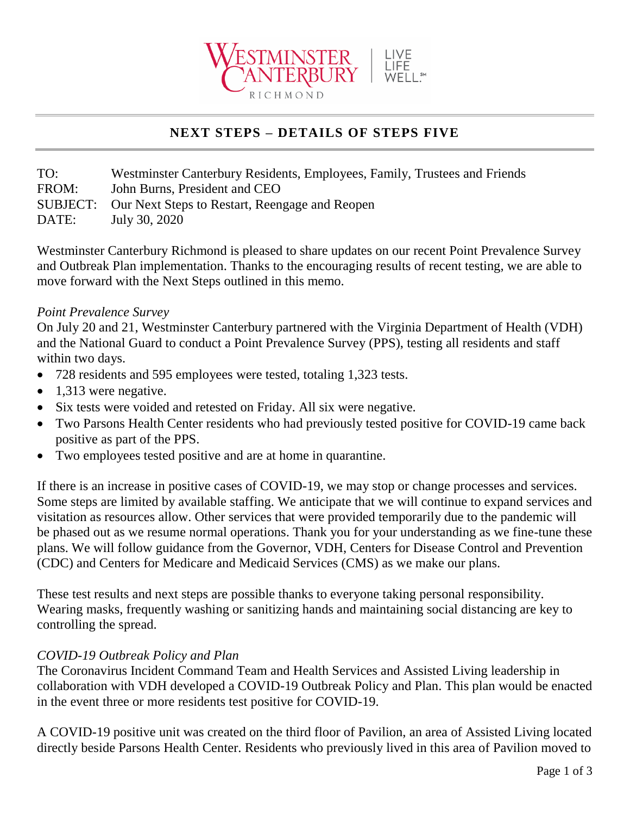

# **NEXT STEPS – DETAILS OF STEPS FIVE**

TO: Westminster Canterbury Residents, Employees, Family, Trustees and Friends FROM: John Burns, President and CEO SUBJECT: Our Next Steps to Restart, Reengage and Reopen DATE: July 30, 2020

Westminster Canterbury Richmond is pleased to share updates on our recent Point Prevalence Survey and Outbreak Plan implementation. Thanks to the encouraging results of recent testing, we are able to move forward with the Next Steps outlined in this memo.

#### *Point Prevalence Survey*

On July 20 and 21, Westminster Canterbury partnered with the Virginia Department of Health (VDH) and the National Guard to conduct a Point Prevalence Survey (PPS), testing all residents and staff within two days.

- 728 residents and 595 employees were tested, totaling 1,323 tests.
- $\bullet$  1,313 were negative.
- Six tests were voided and retested on Friday. All six were negative.
- Two Parsons Health Center residents who had previously tested positive for COVID-19 came back positive as part of the PPS.
- Two employees tested positive and are at home in quarantine.

If there is an increase in positive cases of COVID-19, we may stop or change processes and services. Some steps are limited by available staffing. We anticipate that we will continue to expand services and visitation as resources allow. Other services that were provided temporarily due to the pandemic will be phased out as we resume normal operations. Thank you for your understanding as we fine-tune these plans. We will follow guidance from the Governor, VDH, Centers for Disease Control and Prevention (CDC) and Centers for Medicare and Medicaid Services (CMS) as we make our plans.

These test results and next steps are possible thanks to everyone taking personal responsibility. Wearing masks, frequently washing or sanitizing hands and maintaining social distancing are key to controlling the spread.

#### *COVID-19 Outbreak Policy and Plan*

The Coronavirus Incident Command Team and Health Services and Assisted Living leadership in collaboration with VDH developed a COVID-19 Outbreak Policy and Plan. This plan would be enacted in the event three or more residents test positive for COVID-19.

A COVID-19 positive unit was created on the third floor of Pavilion, an area of Assisted Living located directly beside Parsons Health Center. Residents who previously lived in this area of Pavilion moved to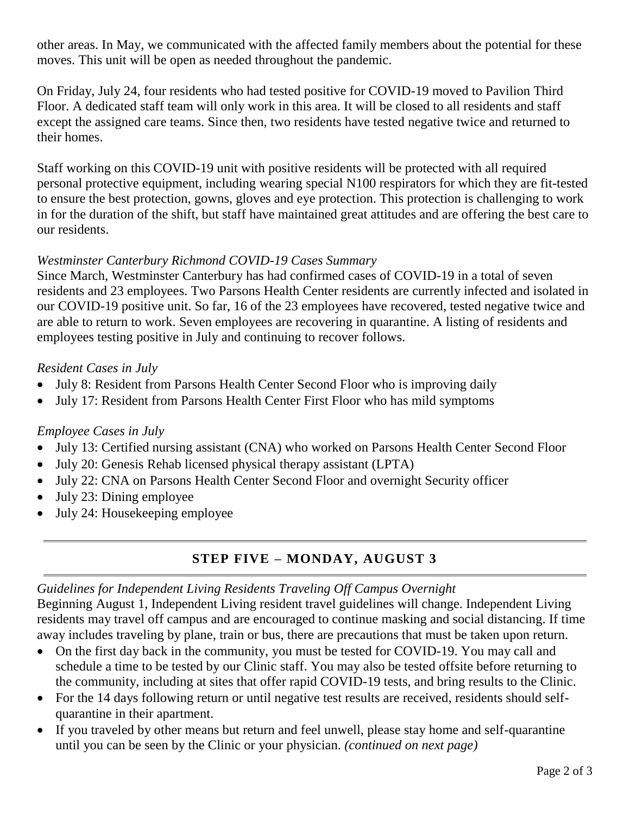other areas. In May, we communicated with the affected family members about the potential for these moves. This unit will be open as needed throughout the pandemic.

On Friday, July 24, four residents who had tested positive for COVID-19 moved to Pavilion Third Floor. A dedicated staff team will only work in this area. It will be closed to all residents and staff except the assigned care teams. Since then, two residents have tested negative twice and returned to their homes.

Staff working on this COVID-19 unit with positive residents will be protected with all required personal protective equipment, including wearing special N100 respirators for which they are fit-tested to ensure the best protection, gowns, gloves and eye protection. This protection is challenging to work in for the duration of the shift, but staff have maintained great attitudes and are offering the best care to our residents.

## *Westminster Canterbury Richmond COVID-19 Cases Summary*

Since March, Westminster Canterbury has had confirmed cases of COVID-19 in a total of seven residents and 23 employees. Two Parsons Health Center residents are currently infected and isolated in our COVID-19 positive unit. So far, 16 of the 23 employees have recovered, tested negative twice and are able to return to work. Seven employees are recovering in quarantine. A listing of residents and employees testing positive in July and continuing to recover follows.

### *Resident Cases in July*

- July 8: Resident from Parsons Health Center Second Floor who is improving daily
- July 17: Resident from Parsons Health Center First Floor who has mild symptoms

### *Employee Cases in July*

- July 13: Certified nursing assistant (CNA) who worked on Parsons Health Center Second Floor
- July 20: Genesis Rehab licensed physical therapy assistant (LPTA)
- July 22: CNA on Parsons Health Center Second Floor and overnight Security officer
- July 23: Dining employee
- July 24: Housekeeping employee

# **STEP FIVE – MONDAY, AUGUST 3**

### *Guidelines for Independent Living Residents Traveling Off Campus Overnight*

Beginning August 1, Independent Living resident travel guidelines will change. Independent Living residents may travel off campus and are encouraged to continue masking and social distancing. If time away includes traveling by plane, train or bus, there are precautions that must be taken upon return.

- On the first day back in the community, you must be tested for COVID-19. You may call and schedule a time to be tested by our Clinic staff. You may also be tested offsite before returning to the community, including at sites that offer rapid COVID-19 tests, and bring results to the Clinic.
- For the 14 days following return or until negative test results are received, residents should selfquarantine in their apartment.
- If you traveled by other means but return and feel unwell, please stay home and self-quarantine until you can be seen by the Clinic or your physician. *(continued on next page)*